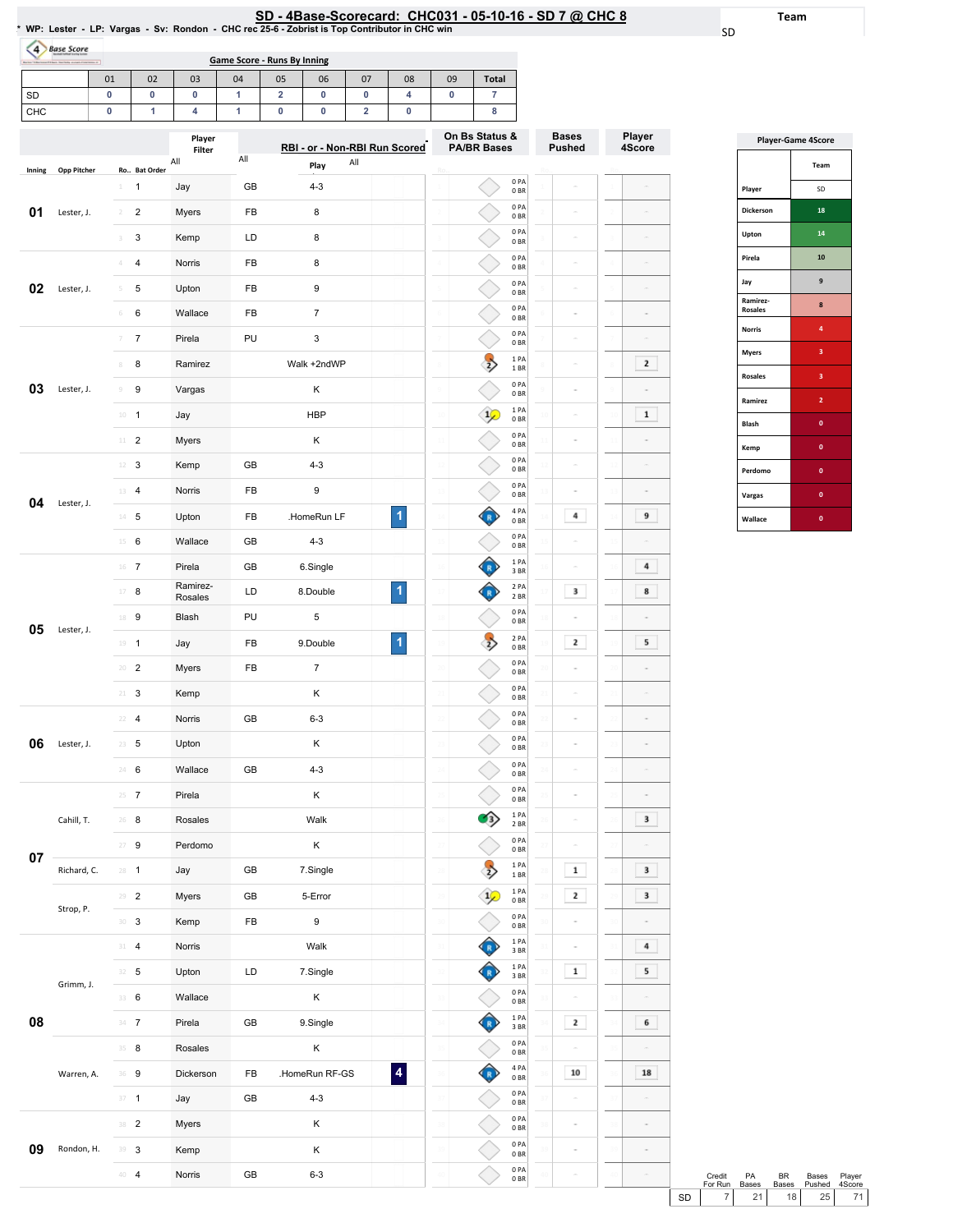# SD - 4Base-Scorecard: CHC031 - 05-10-16 - SD 7 @ CHC 8<br>\* WP: Lester - LP: Vargas - Sv: Rondon - CHC rec 25-6 - Zobrist is Top Contributor in CHC win

Team

SD

| <b>DUSE SLOTE</b> | Game Score - Runs By Inning<br>Borios "Educacional El back Statistic avenue d'internazio al |    |    |    |    |    |    |    |    |              |  |  |  |
|-------------------|---------------------------------------------------------------------------------------------|----|----|----|----|----|----|----|----|--------------|--|--|--|
|                   | 01                                                                                          | 02 | 03 | 04 | 05 | 06 | 07 | 08 | 09 | <b>Total</b> |  |  |  |
| <b>SD</b>         |                                                                                             |    |    |    |    |    |    |    |    |              |  |  |  |
| <b>CHC</b>        |                                                                                             |    |    |    |    |    |    |    |    |              |  |  |  |

| RBI - or - Non-RBI Run Scored<br><b>PA/BR Bases</b><br><b>Pushed</b><br>4Score<br>Filter<br>All<br>All<br>All<br>Play<br><b>Opp Pitcher</b><br>Ro Bat Order<br>Inning<br>0PA<br>GB<br>1<br>Jay<br>$4 - 3$<br>1<br>0BR<br>0PA<br>01<br>2<br>Myers<br>FB<br>8<br>Lester, J.<br>$\overline{2}$<br>0BR<br>0PA<br>3<br>Kemp<br>LD<br>8<br>3<br>$\overline{a}$<br>0 BR<br>0PA<br>4<br>Norris<br>FB<br>8<br>$\Delta$<br>0BR<br>0 PA<br>02<br>9<br>5<br>Upton<br>FB<br>Lester, J.<br>5<br>0 BR<br>0PA<br>FB<br>$\overline{7}$<br>6<br>Wallace<br>$\,$ 6<br>$\overline{a}$<br>0BR<br>0PA<br>Pirela<br>PU<br>3<br>7<br>7<br>ä<br>0BR<br>1 PA<br>Walk +2ndWP<br>$\mathbf{2}$<br>8<br>Ramirez<br>$\overline{2}$<br>8<br>1 BR<br>0PA<br>03<br>Κ<br>Lester, J.<br>9<br>Vargas<br>$\circledcirc$<br>0BR<br>1PA<br>$\mathbf 1$<br><b>HBP</b><br>$10\,$<br>$\overline{1}$<br>Jay<br>$\frac{1}{2}$<br>0BR<br>0 PA<br>$11 -$<br>$\overline{2}$<br>Myers<br>Κ<br>0BR<br>0 PA<br>3<br>GB<br>$4 - 3$<br>12<br>Kemp<br>0BR<br>0PA<br>FB<br>9<br>Norris<br>$\overline{4}$<br>13<br>0 <sub>BR</sub><br>04<br>Lester, J.<br>4 PA<br>1<br>9<br>.HomeRun LF<br>4<br>5<br>FB<br>Upton<br>$14 -$<br>0BR<br>0PA<br>GB<br>$4 - 3$<br>15<br>6<br>Wallace<br>ä<br>0BR<br>1PA<br>4<br>16<br>$\overline{7}$<br>Pirela<br>GB<br>6.Single<br>3 BR<br>Ramirez-<br>2 PA<br>1<br>3<br>8<br>17<br>8<br>LD<br>8.Double<br>Rosales<br>2 BR<br>0 PA<br>PU<br>5<br>Blash<br>18 9<br>0BR<br>05<br>Lester, J.<br>2 PA<br>1<br>$\mathbf{2}$<br>5<br>9.Double<br>$\overline{2}$<br>FB<br>19<br>$\overline{1}$<br>Jay<br>0BR<br>0 PA<br>$\overline{7}$<br>$\overline{2}$<br>FB<br>20<br>Myers<br>0BR<br>0PA<br>3<br>Κ<br>21<br>Kemp<br>0BR<br>0PA<br>Norris<br>$6 - 3$<br>22<br>$\overline{4}$<br>GB<br>0BR<br>0PA<br>06<br>Upton<br>κ<br>Lester, J.<br>5<br>23<br>0BR<br>0PA<br>6<br>Wallace<br>GB<br>$4 - 3$<br>24<br>0BR<br>0PA<br>$25 \t 7$<br>Pirela<br>κ<br>0BR<br>$\mathbf{1}$<br>PA<br>3<br>Cahill, T.<br>26<br>8<br>Rosales<br>Walk<br>₹<br>$2$ BR $\,$<br>0PA<br>Κ<br>27<br>9<br>Perdomo<br>0BR<br>07<br>1PA<br>$\frac{1}{2}$<br>$\mathbf{1}$<br>3<br>GB<br>Richard, C.<br>$28 - 1$<br>Jay<br>7.Single<br>28<br>1 BR<br>1PA<br>$\mathbf{2}$<br>3<br>$29 - 2$<br>Myers<br>GB<br>5-Error<br>$\frac{1}{2}$<br>0B<br>Strop, P.<br>$0$ PA<br>FB<br>9<br>$30-3$<br>Kemp<br>30<br>30<br>$0\;\mathrm{BR}$<br>1PA<br>4<br>$31 - 4$<br>Norris<br>Walk<br>31<br>3BR<br>1 PA<br>$\mathbf 1$<br>5<br>$32 - 5$<br>Upton<br>LD<br>7.Single<br>32<br>3 BR<br>Grimm, J. |  | Player |  |  | On Bs Status & | <b>Bases</b> | Player |
|---------------------------------------------------------------------------------------------------------------------------------------------------------------------------------------------------------------------------------------------------------------------------------------------------------------------------------------------------------------------------------------------------------------------------------------------------------------------------------------------------------------------------------------------------------------------------------------------------------------------------------------------------------------------------------------------------------------------------------------------------------------------------------------------------------------------------------------------------------------------------------------------------------------------------------------------------------------------------------------------------------------------------------------------------------------------------------------------------------------------------------------------------------------------------------------------------------------------------------------------------------------------------------------------------------------------------------------------------------------------------------------------------------------------------------------------------------------------------------------------------------------------------------------------------------------------------------------------------------------------------------------------------------------------------------------------------------------------------------------------------------------------------------------------------------------------------------------------------------------------------------------------------------------------------------------------------------------------------------------------------------------------------------------------------------------------------------------------------------------------------------------------------------------------------------------------------------------------------------------------------------------------------------------------------------------------------------------------------------------------------------------------------------------------------------------------------------------------------------------------------------------|--|--------|--|--|----------------|--------------|--------|
|                                                                                                                                                                                                                                                                                                                                                                                                                                                                                                                                                                                                                                                                                                                                                                                                                                                                                                                                                                                                                                                                                                                                                                                                                                                                                                                                                                                                                                                                                                                                                                                                                                                                                                                                                                                                                                                                                                                                                                                                                                                                                                                                                                                                                                                                                                                                                                                                                                                                                                               |  |        |  |  |                |              |        |
|                                                                                                                                                                                                                                                                                                                                                                                                                                                                                                                                                                                                                                                                                                                                                                                                                                                                                                                                                                                                                                                                                                                                                                                                                                                                                                                                                                                                                                                                                                                                                                                                                                                                                                                                                                                                                                                                                                                                                                                                                                                                                                                                                                                                                                                                                                                                                                                                                                                                                                               |  |        |  |  |                |              |        |
|                                                                                                                                                                                                                                                                                                                                                                                                                                                                                                                                                                                                                                                                                                                                                                                                                                                                                                                                                                                                                                                                                                                                                                                                                                                                                                                                                                                                                                                                                                                                                                                                                                                                                                                                                                                                                                                                                                                                                                                                                                                                                                                                                                                                                                                                                                                                                                                                                                                                                                               |  |        |  |  |                |              |        |
|                                                                                                                                                                                                                                                                                                                                                                                                                                                                                                                                                                                                                                                                                                                                                                                                                                                                                                                                                                                                                                                                                                                                                                                                                                                                                                                                                                                                                                                                                                                                                                                                                                                                                                                                                                                                                                                                                                                                                                                                                                                                                                                                                                                                                                                                                                                                                                                                                                                                                                               |  |        |  |  |                |              |        |
|                                                                                                                                                                                                                                                                                                                                                                                                                                                                                                                                                                                                                                                                                                                                                                                                                                                                                                                                                                                                                                                                                                                                                                                                                                                                                                                                                                                                                                                                                                                                                                                                                                                                                                                                                                                                                                                                                                                                                                                                                                                                                                                                                                                                                                                                                                                                                                                                                                                                                                               |  |        |  |  |                |              |        |
|                                                                                                                                                                                                                                                                                                                                                                                                                                                                                                                                                                                                                                                                                                                                                                                                                                                                                                                                                                                                                                                                                                                                                                                                                                                                                                                                                                                                                                                                                                                                                                                                                                                                                                                                                                                                                                                                                                                                                                                                                                                                                                                                                                                                                                                                                                                                                                                                                                                                                                               |  |        |  |  |                |              |        |
|                                                                                                                                                                                                                                                                                                                                                                                                                                                                                                                                                                                                                                                                                                                                                                                                                                                                                                                                                                                                                                                                                                                                                                                                                                                                                                                                                                                                                                                                                                                                                                                                                                                                                                                                                                                                                                                                                                                                                                                                                                                                                                                                                                                                                                                                                                                                                                                                                                                                                                               |  |        |  |  |                |              |        |
|                                                                                                                                                                                                                                                                                                                                                                                                                                                                                                                                                                                                                                                                                                                                                                                                                                                                                                                                                                                                                                                                                                                                                                                                                                                                                                                                                                                                                                                                                                                                                                                                                                                                                                                                                                                                                                                                                                                                                                                                                                                                                                                                                                                                                                                                                                                                                                                                                                                                                                               |  |        |  |  |                |              |        |
|                                                                                                                                                                                                                                                                                                                                                                                                                                                                                                                                                                                                                                                                                                                                                                                                                                                                                                                                                                                                                                                                                                                                                                                                                                                                                                                                                                                                                                                                                                                                                                                                                                                                                                                                                                                                                                                                                                                                                                                                                                                                                                                                                                                                                                                                                                                                                                                                                                                                                                               |  |        |  |  |                |              |        |
|                                                                                                                                                                                                                                                                                                                                                                                                                                                                                                                                                                                                                                                                                                                                                                                                                                                                                                                                                                                                                                                                                                                                                                                                                                                                                                                                                                                                                                                                                                                                                                                                                                                                                                                                                                                                                                                                                                                                                                                                                                                                                                                                                                                                                                                                                                                                                                                                                                                                                                               |  |        |  |  |                |              |        |
|                                                                                                                                                                                                                                                                                                                                                                                                                                                                                                                                                                                                                                                                                                                                                                                                                                                                                                                                                                                                                                                                                                                                                                                                                                                                                                                                                                                                                                                                                                                                                                                                                                                                                                                                                                                                                                                                                                                                                                                                                                                                                                                                                                                                                                                                                                                                                                                                                                                                                                               |  |        |  |  |                |              |        |
|                                                                                                                                                                                                                                                                                                                                                                                                                                                                                                                                                                                                                                                                                                                                                                                                                                                                                                                                                                                                                                                                                                                                                                                                                                                                                                                                                                                                                                                                                                                                                                                                                                                                                                                                                                                                                                                                                                                                                                                                                                                                                                                                                                                                                                                                                                                                                                                                                                                                                                               |  |        |  |  |                |              |        |
|                                                                                                                                                                                                                                                                                                                                                                                                                                                                                                                                                                                                                                                                                                                                                                                                                                                                                                                                                                                                                                                                                                                                                                                                                                                                                                                                                                                                                                                                                                                                                                                                                                                                                                                                                                                                                                                                                                                                                                                                                                                                                                                                                                                                                                                                                                                                                                                                                                                                                                               |  |        |  |  |                |              |        |
|                                                                                                                                                                                                                                                                                                                                                                                                                                                                                                                                                                                                                                                                                                                                                                                                                                                                                                                                                                                                                                                                                                                                                                                                                                                                                                                                                                                                                                                                                                                                                                                                                                                                                                                                                                                                                                                                                                                                                                                                                                                                                                                                                                                                                                                                                                                                                                                                                                                                                                               |  |        |  |  |                |              |        |
|                                                                                                                                                                                                                                                                                                                                                                                                                                                                                                                                                                                                                                                                                                                                                                                                                                                                                                                                                                                                                                                                                                                                                                                                                                                                                                                                                                                                                                                                                                                                                                                                                                                                                                                                                                                                                                                                                                                                                                                                                                                                                                                                                                                                                                                                                                                                                                                                                                                                                                               |  |        |  |  |                |              |        |
|                                                                                                                                                                                                                                                                                                                                                                                                                                                                                                                                                                                                                                                                                                                                                                                                                                                                                                                                                                                                                                                                                                                                                                                                                                                                                                                                                                                                                                                                                                                                                                                                                                                                                                                                                                                                                                                                                                                                                                                                                                                                                                                                                                                                                                                                                                                                                                                                                                                                                                               |  |        |  |  |                |              |        |
|                                                                                                                                                                                                                                                                                                                                                                                                                                                                                                                                                                                                                                                                                                                                                                                                                                                                                                                                                                                                                                                                                                                                                                                                                                                                                                                                                                                                                                                                                                                                                                                                                                                                                                                                                                                                                                                                                                                                                                                                                                                                                                                                                                                                                                                                                                                                                                                                                                                                                                               |  |        |  |  |                |              |        |
|                                                                                                                                                                                                                                                                                                                                                                                                                                                                                                                                                                                                                                                                                                                                                                                                                                                                                                                                                                                                                                                                                                                                                                                                                                                                                                                                                                                                                                                                                                                                                                                                                                                                                                                                                                                                                                                                                                                                                                                                                                                                                                                                                                                                                                                                                                                                                                                                                                                                                                               |  |        |  |  |                |              |        |
|                                                                                                                                                                                                                                                                                                                                                                                                                                                                                                                                                                                                                                                                                                                                                                                                                                                                                                                                                                                                                                                                                                                                                                                                                                                                                                                                                                                                                                                                                                                                                                                                                                                                                                                                                                                                                                                                                                                                                                                                                                                                                                                                                                                                                                                                                                                                                                                                                                                                                                               |  |        |  |  |                |              |        |
|                                                                                                                                                                                                                                                                                                                                                                                                                                                                                                                                                                                                                                                                                                                                                                                                                                                                                                                                                                                                                                                                                                                                                                                                                                                                                                                                                                                                                                                                                                                                                                                                                                                                                                                                                                                                                                                                                                                                                                                                                                                                                                                                                                                                                                                                                                                                                                                                                                                                                                               |  |        |  |  |                |              |        |
|                                                                                                                                                                                                                                                                                                                                                                                                                                                                                                                                                                                                                                                                                                                                                                                                                                                                                                                                                                                                                                                                                                                                                                                                                                                                                                                                                                                                                                                                                                                                                                                                                                                                                                                                                                                                                                                                                                                                                                                                                                                                                                                                                                                                                                                                                                                                                                                                                                                                                                               |  |        |  |  |                |              |        |
|                                                                                                                                                                                                                                                                                                                                                                                                                                                                                                                                                                                                                                                                                                                                                                                                                                                                                                                                                                                                                                                                                                                                                                                                                                                                                                                                                                                                                                                                                                                                                                                                                                                                                                                                                                                                                                                                                                                                                                                                                                                                                                                                                                                                                                                                                                                                                                                                                                                                                                               |  |        |  |  |                |              |        |
|                                                                                                                                                                                                                                                                                                                                                                                                                                                                                                                                                                                                                                                                                                                                                                                                                                                                                                                                                                                                                                                                                                                                                                                                                                                                                                                                                                                                                                                                                                                                                                                                                                                                                                                                                                                                                                                                                                                                                                                                                                                                                                                                                                                                                                                                                                                                                                                                                                                                                                               |  |        |  |  |                |              |        |
|                                                                                                                                                                                                                                                                                                                                                                                                                                                                                                                                                                                                                                                                                                                                                                                                                                                                                                                                                                                                                                                                                                                                                                                                                                                                                                                                                                                                                                                                                                                                                                                                                                                                                                                                                                                                                                                                                                                                                                                                                                                                                                                                                                                                                                                                                                                                                                                                                                                                                                               |  |        |  |  |                |              |        |
|                                                                                                                                                                                                                                                                                                                                                                                                                                                                                                                                                                                                                                                                                                                                                                                                                                                                                                                                                                                                                                                                                                                                                                                                                                                                                                                                                                                                                                                                                                                                                                                                                                                                                                                                                                                                                                                                                                                                                                                                                                                                                                                                                                                                                                                                                                                                                                                                                                                                                                               |  |        |  |  |                |              |        |
|                                                                                                                                                                                                                                                                                                                                                                                                                                                                                                                                                                                                                                                                                                                                                                                                                                                                                                                                                                                                                                                                                                                                                                                                                                                                                                                                                                                                                                                                                                                                                                                                                                                                                                                                                                                                                                                                                                                                                                                                                                                                                                                                                                                                                                                                                                                                                                                                                                                                                                               |  |        |  |  |                |              |        |
|                                                                                                                                                                                                                                                                                                                                                                                                                                                                                                                                                                                                                                                                                                                                                                                                                                                                                                                                                                                                                                                                                                                                                                                                                                                                                                                                                                                                                                                                                                                                                                                                                                                                                                                                                                                                                                                                                                                                                                                                                                                                                                                                                                                                                                                                                                                                                                                                                                                                                                               |  |        |  |  |                |              |        |
|                                                                                                                                                                                                                                                                                                                                                                                                                                                                                                                                                                                                                                                                                                                                                                                                                                                                                                                                                                                                                                                                                                                                                                                                                                                                                                                                                                                                                                                                                                                                                                                                                                                                                                                                                                                                                                                                                                                                                                                                                                                                                                                                                                                                                                                                                                                                                                                                                                                                                                               |  |        |  |  |                |              |        |
|                                                                                                                                                                                                                                                                                                                                                                                                                                                                                                                                                                                                                                                                                                                                                                                                                                                                                                                                                                                                                                                                                                                                                                                                                                                                                                                                                                                                                                                                                                                                                                                                                                                                                                                                                                                                                                                                                                                                                                                                                                                                                                                                                                                                                                                                                                                                                                                                                                                                                                               |  |        |  |  |                |              |        |
|                                                                                                                                                                                                                                                                                                                                                                                                                                                                                                                                                                                                                                                                                                                                                                                                                                                                                                                                                                                                                                                                                                                                                                                                                                                                                                                                                                                                                                                                                                                                                                                                                                                                                                                                                                                                                                                                                                                                                                                                                                                                                                                                                                                                                                                                                                                                                                                                                                                                                                               |  |        |  |  |                |              |        |
|                                                                                                                                                                                                                                                                                                                                                                                                                                                                                                                                                                                                                                                                                                                                                                                                                                                                                                                                                                                                                                                                                                                                                                                                                                                                                                                                                                                                                                                                                                                                                                                                                                                                                                                                                                                                                                                                                                                                                                                                                                                                                                                                                                                                                                                                                                                                                                                                                                                                                                               |  |        |  |  |                |              |        |
|                                                                                                                                                                                                                                                                                                                                                                                                                                                                                                                                                                                                                                                                                                                                                                                                                                                                                                                                                                                                                                                                                                                                                                                                                                                                                                                                                                                                                                                                                                                                                                                                                                                                                                                                                                                                                                                                                                                                                                                                                                                                                                                                                                                                                                                                                                                                                                                                                                                                                                               |  |        |  |  |                |              |        |
|                                                                                                                                                                                                                                                                                                                                                                                                                                                                                                                                                                                                                                                                                                                                                                                                                                                                                                                                                                                                                                                                                                                                                                                                                                                                                                                                                                                                                                                                                                                                                                                                                                                                                                                                                                                                                                                                                                                                                                                                                                                                                                                                                                                                                                                                                                                                                                                                                                                                                                               |  |        |  |  |                |              |        |
|                                                                                                                                                                                                                                                                                                                                                                                                                                                                                                                                                                                                                                                                                                                                                                                                                                                                                                                                                                                                                                                                                                                                                                                                                                                                                                                                                                                                                                                                                                                                                                                                                                                                                                                                                                                                                                                                                                                                                                                                                                                                                                                                                                                                                                                                                                                                                                                                                                                                                                               |  |        |  |  |                |              |        |
| 0PA<br>Κ<br>33 6<br>Wallace<br>33<br>$0\;\mathrm{BR}$                                                                                                                                                                                                                                                                                                                                                                                                                                                                                                                                                                                                                                                                                                                                                                                                                                                                                                                                                                                                                                                                                                                                                                                                                                                                                                                                                                                                                                                                                                                                                                                                                                                                                                                                                                                                                                                                                                                                                                                                                                                                                                                                                                                                                                                                                                                                                                                                                                                         |  |        |  |  |                |              |        |
| 1 PA<br>08<br>$\mathbf{2}$<br>6<br>$34 - 7$<br>Pirela<br>GB<br>9.Single<br>3 BR                                                                                                                                                                                                                                                                                                                                                                                                                                                                                                                                                                                                                                                                                                                                                                                                                                                                                                                                                                                                                                                                                                                                                                                                                                                                                                                                                                                                                                                                                                                                                                                                                                                                                                                                                                                                                                                                                                                                                                                                                                                                                                                                                                                                                                                                                                                                                                                                                               |  |        |  |  |                |              |        |
| 0PA<br>$35 - 8$<br>Rosales<br>Κ<br>35<br>35<br>$\overline{a}$<br>$0\;\mathrm{BR}$                                                                                                                                                                                                                                                                                                                                                                                                                                                                                                                                                                                                                                                                                                                                                                                                                                                                                                                                                                                                                                                                                                                                                                                                                                                                                                                                                                                                                                                                                                                                                                                                                                                                                                                                                                                                                                                                                                                                                                                                                                                                                                                                                                                                                                                                                                                                                                                                                             |  |        |  |  |                |              |        |
| 4 PA<br>$\overline{\mathbf{4}}$<br>10<br>Dickerson<br>FB<br>.HomeRun RF-GS<br>18<br>Warren, A.<br>36 9<br>0B                                                                                                                                                                                                                                                                                                                                                                                                                                                                                                                                                                                                                                                                                                                                                                                                                                                                                                                                                                                                                                                                                                                                                                                                                                                                                                                                                                                                                                                                                                                                                                                                                                                                                                                                                                                                                                                                                                                                                                                                                                                                                                                                                                                                                                                                                                                                                                                                  |  |        |  |  |                |              |        |
| 0PA<br>$37 - 1$<br>GB<br>$4 - 3$<br>Jay<br>37<br>0B                                                                                                                                                                                                                                                                                                                                                                                                                                                                                                                                                                                                                                                                                                                                                                                                                                                                                                                                                                                                                                                                                                                                                                                                                                                                                                                                                                                                                                                                                                                                                                                                                                                                                                                                                                                                                                                                                                                                                                                                                                                                                                                                                                                                                                                                                                                                                                                                                                                           |  |        |  |  |                |              |        |
| 0PA<br>Κ<br>38 <sup>2</sup><br>Myers<br>38<br>$\frac{1}{2}$<br>0B                                                                                                                                                                                                                                                                                                                                                                                                                                                                                                                                                                                                                                                                                                                                                                                                                                                                                                                                                                                                                                                                                                                                                                                                                                                                                                                                                                                                                                                                                                                                                                                                                                                                                                                                                                                                                                                                                                                                                                                                                                                                                                                                                                                                                                                                                                                                                                                                                                             |  |        |  |  |                |              |        |
| 0PA<br>09<br>Rondon, H.<br>$39 - 3$<br>Κ<br>Kemp<br>39<br>0B                                                                                                                                                                                                                                                                                                                                                                                                                                                                                                                                                                                                                                                                                                                                                                                                                                                                                                                                                                                                                                                                                                                                                                                                                                                                                                                                                                                                                                                                                                                                                                                                                                                                                                                                                                                                                                                                                                                                                                                                                                                                                                                                                                                                                                                                                                                                                                                                                                                  |  |        |  |  |                |              |        |
| 0 PA<br>$40-4$<br>Norris<br>GB<br>$6 - 3$<br>0B                                                                                                                                                                                                                                                                                                                                                                                                                                                                                                                                                                                                                                                                                                                                                                                                                                                                                                                                                                                                                                                                                                                                                                                                                                                                                                                                                                                                                                                                                                                                                                                                                                                                                                                                                                                                                                                                                                                                                                                                                                                                                                                                                                                                                                                                                                                                                                                                                                                               |  |        |  |  |                |              |        |

|                            | <b>Player-Game 4Score</b> |
|----------------------------|---------------------------|
|                            | Team                      |
| Player                     | SD                        |
| Dickerson                  | 18                        |
| Upton                      | 14                        |
| Pirela                     | 10                        |
| Jay                        | 9                         |
| Ramirez-<br><b>Rosales</b> | 8                         |
| <b>Norris</b>              | 4                         |
| <b>Myers</b>               | 3                         |
| <b>Rosales</b>             | 3                         |
| Ramirez                    | $\overline{a}$            |
| Blash                      | O                         |
| Kemp                       | O                         |
| Perdomo                    | Ō                         |
| Vargas                     | O                         |
| Wallace                    | O                         |

|           | Credit<br>For Run | PA<br><b>Bases</b> | RR.<br><b>Bases</b> | <b>Bases</b><br>Pushed | Player<br>4Score |  |
|-----------|-------------------|--------------------|---------------------|------------------------|------------------|--|
| <b>SD</b> |                   | 21                 | 18 <sup>1</sup>     | 25 <sub>1</sub>        | 71               |  |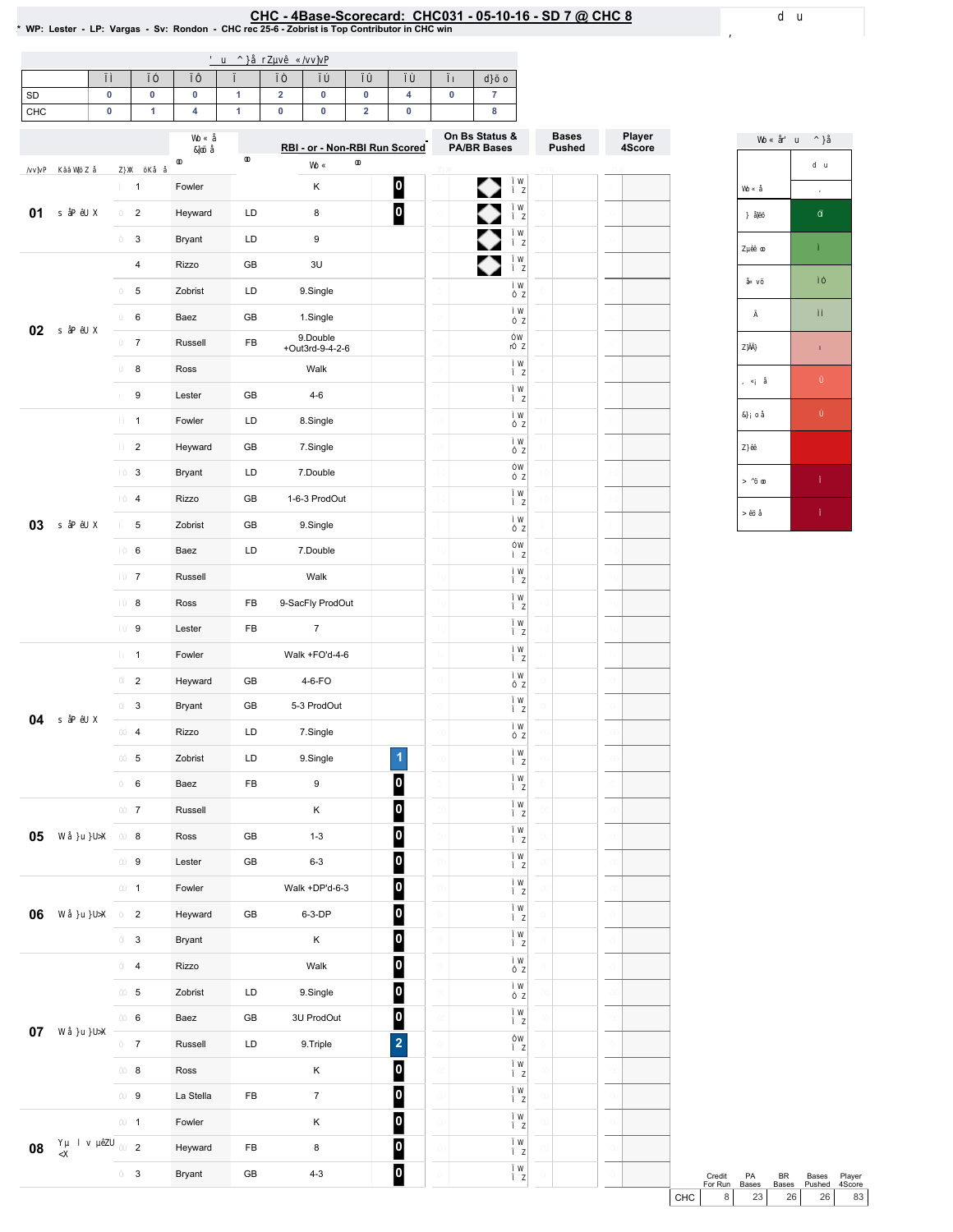# EHC-4Base-Scorecard: CHC031 - 05-10-16 - SD 7 @ CHC 8<br>\* WP: Lester - LP: Vargas - Sv: Rondon - CHC rec 25-6 - Zobrist is Top Contributor in CHC win

| SD<br>CHC | 0<br>0 | $\pmb{0}$<br>$\mathbf{1}$ | $\pmb{0}$<br>4 | $\mathbf{1}$<br>$\mathbf{1}$ | $\overline{\mathbf{2}}$<br>0 | 0<br>0                        | $\pmb{0}$<br>$\mathbf 2$ | 4<br>$\pmb{0}$          | 0 | $\overline{7}$<br>$\bf8$ |               |        |
|-----------|--------|---------------------------|----------------|------------------------------|------------------------------|-------------------------------|--------------------------|-------------------------|---|--------------------------|---------------|--------|
|           |        |                           |                |                              |                              |                               |                          |                         |   | On Bs Status &           | <b>Bases</b>  | Player |
|           |        |                           |                |                              |                              | RBI - or - Non-RBI Run Scored |                          |                         |   | <b>PA/BR Bases</b>       | <b>Pushed</b> | 4Score |
|           |        | $\mathbf{1}$              | Fowler         |                              |                              | Κ                             |                          | $\overline{\mathbf{0}}$ |   | ◆                        |               |        |
| 01        |        | $\overline{2}$            | Heyward        | LD                           |                              | 8                             |                          | $\overline{\mathbf{0}}$ |   | $\bullet$                |               |        |
|           |        | 3                         | Bryant         | LD                           |                              | 9                             |                          |                         |   |                          |               |        |
|           |        | $\overline{\mathbf{4}}$   | Rizzo          | GB                           |                              | 3U                            |                          |                         |   | ♦                        |               |        |
|           |        | 5                         | Zobrist        | LD                           |                              | 9.Single                      |                          |                         |   |                          |               |        |
| 02        |        | 6                         | Baez           | GB                           |                              | 1.Single                      |                          |                         |   |                          |               |        |
|           |        | $\overline{7}$            | Russell        | FB                           |                              | 9.Double<br>+Out3rd-9-4-2-6   |                          |                         |   |                          |               |        |
|           |        | 8                         | Ross           |                              |                              | Walk                          |                          |                         |   |                          |               |        |
|           |        | 9                         | Lester         | GB                           |                              | $4 - 6$                       |                          |                         |   |                          |               |        |
|           |        | $\mathbf{1}$              | Fowler         | LD                           |                              | 8.Single                      |                          |                         |   |                          |               |        |
|           |        | $\overline{c}$            | Heyward        | GB                           |                              | 7.Single                      |                          |                         |   |                          |               |        |
|           |        | 3                         | Bryant         | LD                           |                              | 7.Double                      |                          |                         |   |                          |               |        |
|           |        | 4                         | Rizzo          | GB                           |                              | 1-6-3 ProdOut                 |                          |                         |   |                          |               |        |
| 03        |        | 5                         | Zobrist        | GB                           |                              | 9.Single                      |                          |                         |   |                          |               |        |
|           |        | 6                         | Baez           | LD                           |                              | 7.Double                      |                          |                         |   |                          |               |        |
|           |        | $\overline{7}$            | Russell        |                              |                              | Walk                          |                          |                         |   |                          |               |        |
|           |        | 8                         | Ross           | FB                           |                              | 9-SacFly ProdOut              |                          |                         |   |                          |               |        |
|           |        | 9                         | Lester         | FB                           |                              | $\overline{7}$                |                          |                         |   |                          |               |        |
|           |        | $\mathbf{1}$              | Fowler         |                              |                              | Walk +FO'd-4-6                |                          |                         |   |                          |               |        |
|           |        | $\overline{2}$            | Heyward        | GB                           |                              | 4-6-FO                        |                          |                         |   |                          |               |        |
| 04        |        | 3                         | Bryant         | GB                           |                              | 5-3 ProdOut                   |                          |                         |   |                          |               |        |
|           |        | 4                         | Rizzo          | LD                           |                              | 7.Single                      |                          |                         |   |                          |               |        |
|           |        | 5                         | Zobrist        | LD                           |                              | 9.Single                      |                          | 1                       |   |                          |               |        |
|           |        | 6                         | Baez           | FB                           |                              | 9                             |                          | 0                       |   |                          |               |        |
|           |        | $\overline{7}$            | Russell        |                              |                              | Κ                             |                          | $\overline{\mathbf{0}}$ |   |                          |               |        |
| 05        |        | 8                         | Ross           | GB                           |                              | $1 - 3$                       |                          | $\overline{\mathbf{0}}$ |   |                          |               |        |
|           |        | 9                         | Lester         | GB                           |                              | $6 - 3$                       |                          | $\overline{\mathbf{0}}$ |   |                          |               |        |
|           |        | $\mathbf{1}$              | Fowler         |                              |                              | Walk +DP'd-6-3                |                          | $\overline{\mathbf{0}}$ |   |                          |               |        |
| 06        |        | $\overline{2}$            | Heyward        | GB                           |                              | 6-3-DP                        |                          | $\overline{\mathbf{0}}$ |   |                          |               |        |
|           |        | $\mathbf{3}$              | Bryant         |                              |                              | Κ                             |                          | $\overline{\mathbf{0}}$ |   |                          |               |        |
|           |        | $\overline{\mathbf{4}}$   | Rizzo          |                              |                              | Walk                          |                          | $\overline{\mathbf{0}}$ |   |                          |               |        |
|           |        | $\overline{5}$            | Zobrist        | LD                           |                              | 9.Single                      |                          | $\overline{\mathbf{0}}$ |   |                          |               |        |
|           |        | 6                         | Baez           | GB                           |                              | 3U ProdOut                    |                          | $\overline{\mathbf{0}}$ |   |                          |               |        |
| $07\,$    |        | $\overline{7}$            | Russell        | LD                           |                              | 9.Triple                      |                          | $\overline{\mathbf{c}}$ |   |                          |               |        |
|           |        | 8                         | Ross           |                              |                              | Κ                             |                          | $\overline{\mathbf{0}}$ |   |                          |               |        |
|           |        | 9                         | La Stella      | FB                           |                              | $\overline{7}$                |                          | $\overline{\mathbf{0}}$ |   |                          |               |        |
|           |        | $\mathbf{1}$              | Fowler         |                              |                              | Κ                             |                          | $\overline{\mathbf{0}}$ |   |                          |               |        |
| 08        |        | $\overline{a}$            | Heyward        | FB                           |                              | 8                             |                          | $\overline{\mathbf{0}}$ |   |                          |               |        |
|           |        | $\ensuremath{\mathsf{3}}$ | Bryant         | ${\sf GB}$                   |                              | $4 - 3$                       |                          | $\bullet$               |   |                          |               |        |

Credit PA BR Bases Player<br>ForRun Bases Bases Pushed 4Score<br>CHC 8 23 26 26 83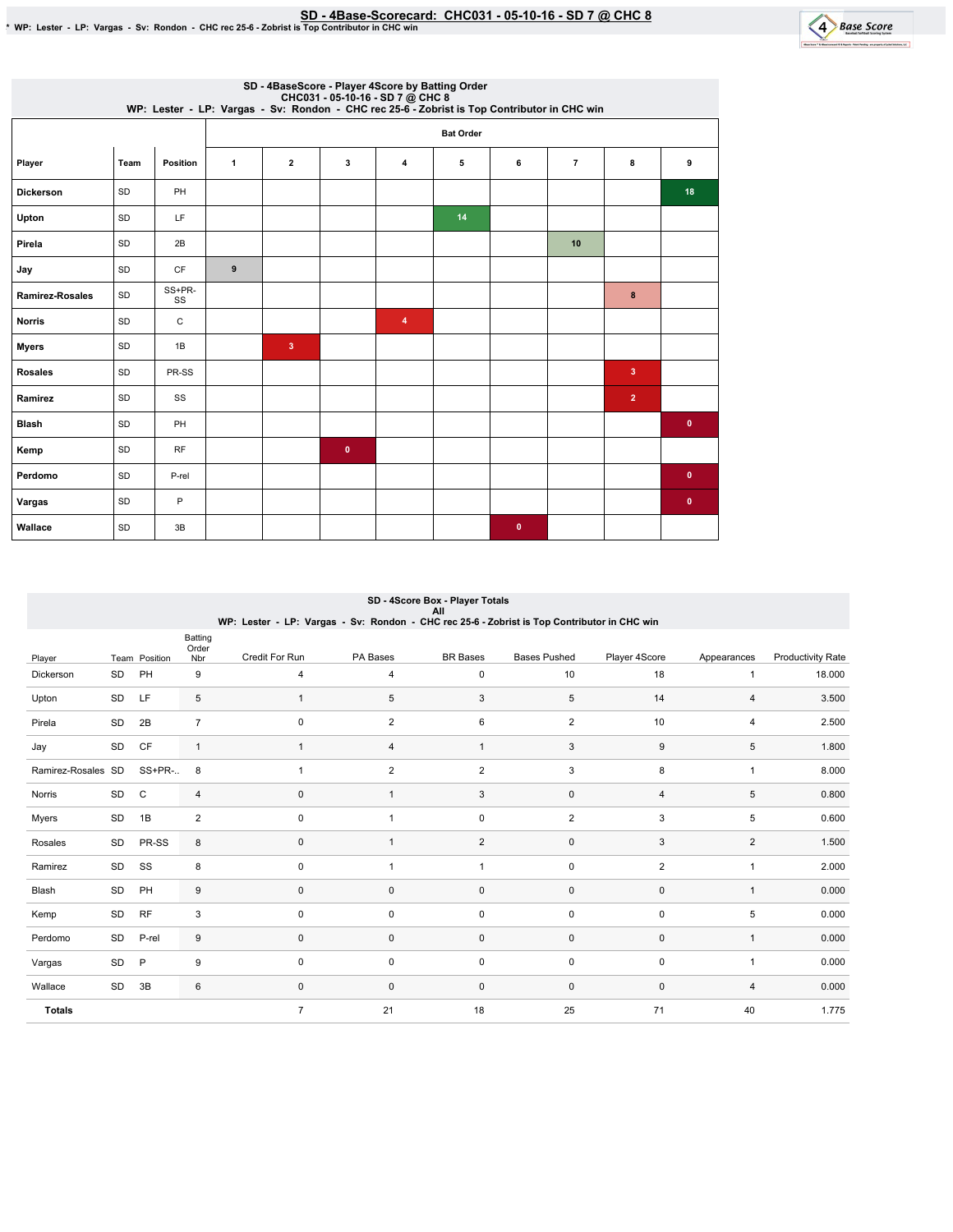SD - 4Base-Scorecard: CHC031 - 05-10-16 - SD 7 @ CHC 8 ل SD - 4Base-Scorecard: CHC031 - 05-10-16 - SD 7 @ CHC<br>\* WP: Lester - LP: Vargas - Sv: Rondon - CHC rec 25-6 - Zobrist is Top Contributor in CHC win



|                        |      |              |              |                         |           | SD - 4BaseScore - Player 4Score by Batting Order |                  | CHC031 - 05-10-16 - SD 7 @ CHC 8<br>WP: Lester - LP: Vargas - Sv: Rondon - CHC rec 25-6 - Zobrist is Top Contributor in CHC win |                |                         |           |
|------------------------|------|--------------|--------------|-------------------------|-----------|--------------------------------------------------|------------------|---------------------------------------------------------------------------------------------------------------------------------|----------------|-------------------------|-----------|
|                        |      |              |              |                         |           |                                                  | <b>Bat Order</b> |                                                                                                                                 |                |                         |           |
| Player                 | Team | Position     | $\mathbf{1}$ | $\overline{2}$          | 3         | $\overline{\bf{4}}$                              | 5                | 6                                                                                                                               | $\overline{7}$ | 8                       | 9         |
| <b>Dickerson</b>       | SD   | PH           |              |                         |           |                                                  |                  |                                                                                                                                 |                |                         | 18        |
| Upton                  | SD   | LF           |              |                         |           |                                                  | 14               |                                                                                                                                 |                |                         |           |
| Pirela                 | SD   | 2B           |              |                         |           |                                                  |                  |                                                                                                                                 | 10             |                         |           |
| Jay                    | SD   | CF           | 9            |                         |           |                                                  |                  |                                                                                                                                 |                |                         |           |
| <b>Ramirez-Rosales</b> | SD   | SS+PR-<br>SS |              |                         |           |                                                  |                  |                                                                                                                                 |                | $\bf8$                  |           |
| <b>Norris</b>          | SD   | С            |              |                         |           | 4                                                |                  |                                                                                                                                 |                |                         |           |
| <b>Myers</b>           | SD   | 1B           |              | $\overline{\mathbf{3}}$ |           |                                                  |                  |                                                                                                                                 |                |                         |           |
| <b>Rosales</b>         | SD   | PR-SS        |              |                         |           |                                                  |                  |                                                                                                                                 |                | $\overline{\mathbf{3}}$ |           |
| Ramirez                | SD   | SS           |              |                         |           |                                                  |                  |                                                                                                                                 |                | $\overline{2}$          |           |
| <b>Blash</b>           | SD   | PH           |              |                         |           |                                                  |                  |                                                                                                                                 |                |                         | $\bullet$ |
| Kemp                   | SD   | RF           |              |                         | $\bullet$ |                                                  |                  |                                                                                                                                 |                |                         |           |
| Perdomo                | SD   | P-rel        |              |                         |           |                                                  |                  |                                                                                                                                 |                |                         | $\bullet$ |
| Vargas                 | SD   | P            |              |                         |           |                                                  |                  |                                                                                                                                 |                |                         | $\bullet$ |
| Wallace                | SD   | 3B           |              |                         |           |                                                  |                  | $\bullet$                                                                                                                       |                |                         |           |

| SD - 4Score Box - Player Totals<br>All |    |               |                         |                                                                                             |                |                 |                     |                |                |                          |  |  |
|----------------------------------------|----|---------------|-------------------------|---------------------------------------------------------------------------------------------|----------------|-----------------|---------------------|----------------|----------------|--------------------------|--|--|
|                                        |    |               |                         | WP: Lester - LP: Vargas - Sv: Rondon - CHC rec 25-6 - Zobrist is Top Contributor in CHC win |                |                 |                     |                |                |                          |  |  |
| Player                                 |    | Team Position | Batting<br>Order<br>Nbr | Credit For Run                                                                              | PA Bases       | <b>BR</b> Bases | <b>Bases Pushed</b> | Player 4Score  | Appearances    | <b>Productivity Rate</b> |  |  |
| Dickerson                              | SD | PH            | 9                       | 4                                                                                           | 4              | 0               | 10                  | 18             | $\mathbf{1}$   | 18.000                   |  |  |
| Upton                                  | SD | LF            | 5                       | $\mathbf{1}$                                                                                | 5              | 3               | 5                   | 14             | 4              | 3.500                    |  |  |
| Pirela                                 | SD | 2B            | $\overline{7}$          | $\mathbf 0$                                                                                 | $\overline{2}$ | 6               | $\overline{2}$      | 10             | $\overline{4}$ | 2.500                    |  |  |
| Jay                                    | SD | CF            | $\mathbf{1}$            | $\mathbf{1}$                                                                                | 4              | 1               | 3                   | 9              | 5              | 1.800                    |  |  |
| Ramirez-Rosales SD                     |    | SS+PR-        | 8                       | 1                                                                                           | 2              | $\overline{2}$  | 3                   | 8              | $\mathbf{1}$   | 8.000                    |  |  |
| Norris                                 | SD | $\mathsf{C}$  | 4                       | $\mathbf 0$                                                                                 | $\mathbf{1}$   | 3               | 0                   | $\overline{4}$ | 5              | 0.800                    |  |  |
| Myers                                  | SD | 1B            | $\overline{2}$          | 0                                                                                           | $\overline{1}$ | 0               | $\overline{2}$      | 3              | 5              | 0.600                    |  |  |
| Rosales                                | SD | PR-SS         | 8                       | $\mathbf{0}$                                                                                | $\overline{1}$ | $\overline{2}$  | 0                   | 3              | 2              | 1.500                    |  |  |
| Ramirez                                | SD | SS            | 8                       | 0                                                                                           | -1             | 1               | 0                   | 2              | $\mathbf{1}$   | 2.000                    |  |  |
| Blash                                  | SD | PH            | 9                       | $\mathbf 0$                                                                                 | $\mathbf 0$    | 0               | 0                   | $\mathbf 0$    | $\mathbf{1}$   | 0.000                    |  |  |
| Kemp                                   | SD | <b>RF</b>     | 3                       | $\mathbf 0$                                                                                 | $\mathbf 0$    | 0               | 0                   | $\mathbf 0$    | 5              | 0.000                    |  |  |
| Perdomo                                | SD | P-rel         | 9                       | $\mathbf 0$                                                                                 | $\mathbf{0}$   | 0               | 0                   | 0              | $\mathbf{1}$   | 0.000                    |  |  |
| Vargas                                 | SD | P             | 9                       | $\mathbf 0$                                                                                 | $\mathbf 0$    | 0               | 0                   | $\mathbf 0$    | $\overline{1}$ | 0.000                    |  |  |
| Wallace                                | SD | 3B            | 6                       | $\mathbf 0$                                                                                 | $\mathbf 0$    | 0               | 0                   | $\mathbf 0$    | 4              | 0.000                    |  |  |
| <b>Totals</b>                          |    |               |                         | $\overline{7}$                                                                              | 21             | 18              | 25                  | 71             | 40             | 1.775                    |  |  |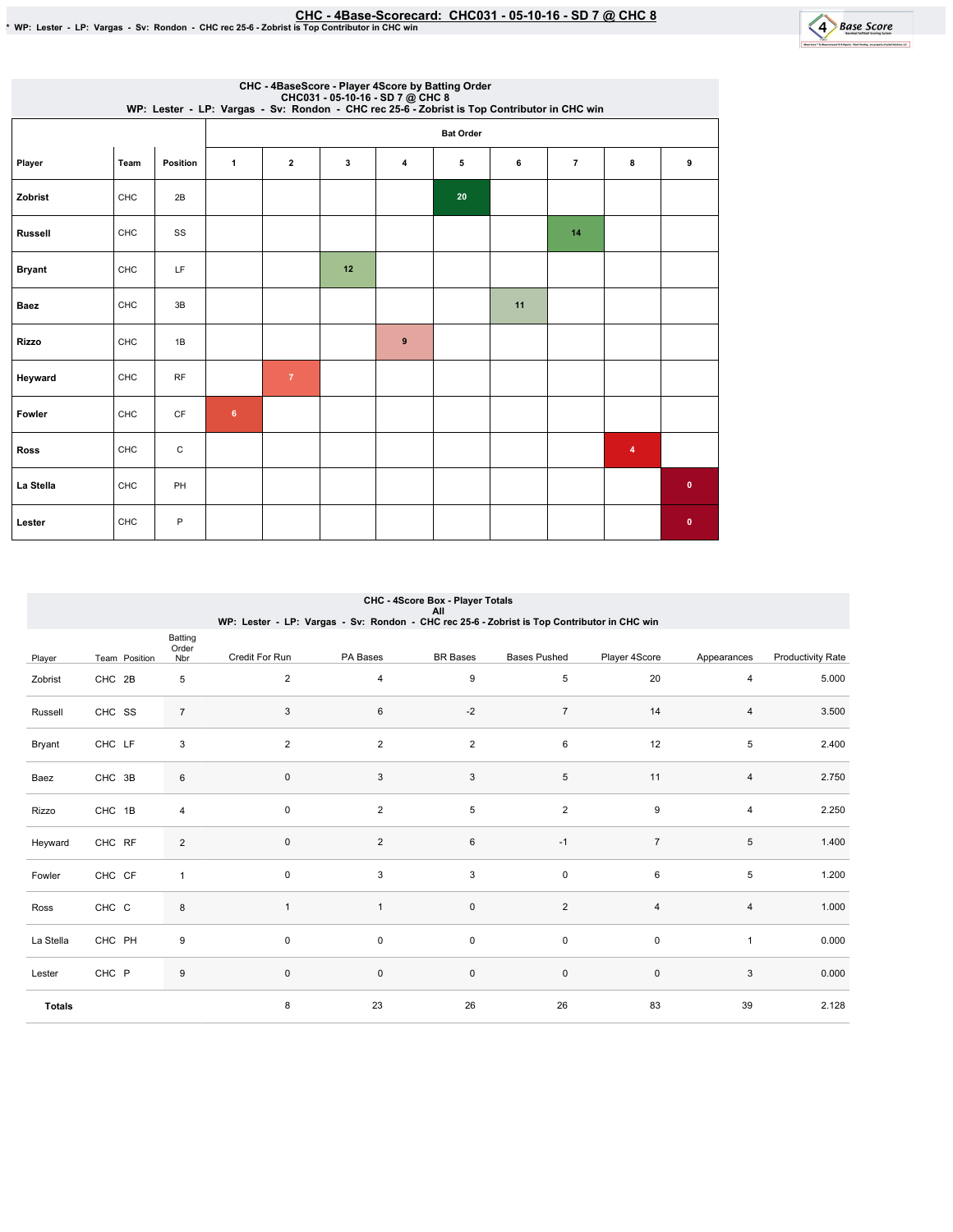CHC-4Base-Scorecard:CHC031-05-10-16-SD7@ CHC8 \*WP:Lester-LP:Vargas-Sv:Rondon-CHCrec25-6-ZobristisTopContributorinCHCwin



|                |      |           |                |                  |    | CHC - 4BaseScore - Player 4Score by Batting Order<br>CHC031 - 05-10-16 - SD 7 @ CHC 8<br>WP: Lester - LP: Vargas - Sv: Rondon - CHC rec 25-6 - Zobrist is Top Contributor in CHC win |    |    |                |   |              |  |  |
|----------------|------|-----------|----------------|------------------|----|--------------------------------------------------------------------------------------------------------------------------------------------------------------------------------------|----|----|----------------|---|--------------|--|--|
|                |      |           |                | <b>Bat Order</b> |    |                                                                                                                                                                                      |    |    |                |   |              |  |  |
| Player         | Team | Position  | $\mathbf{1}$   | $\mathbf{2}$     | 3  | 4                                                                                                                                                                                    | 5  | 6  | $\overline{7}$ | 8 | 9            |  |  |
| Zobrist        | CHC  | 2B        |                |                  |    |                                                                                                                                                                                      | 20 |    |                |   |              |  |  |
| <b>Russell</b> | CHC  | SS        |                |                  |    |                                                                                                                                                                                      |    |    | 14             |   |              |  |  |
| <b>Bryant</b>  | CHC  | LF        |                |                  | 12 |                                                                                                                                                                                      |    |    |                |   |              |  |  |
| <b>Baez</b>    | CHC  | 3B        |                |                  |    |                                                                                                                                                                                      |    | 11 |                |   |              |  |  |
| <b>Rizzo</b>   | CHC  | 1B        |                |                  |    | 9                                                                                                                                                                                    |    |    |                |   |              |  |  |
| Heyward        | CHC  | RF        |                | $\overline{7}$   |    |                                                                                                                                                                                      |    |    |                |   |              |  |  |
| Fowler         | CHC  | <b>CF</b> | $6\phantom{.}$ |                  |    |                                                                                                                                                                                      |    |    |                |   |              |  |  |
| <b>Ross</b>    | CHC  | C         |                |                  |    |                                                                                                                                                                                      |    |    |                | 4 |              |  |  |
| La Stella      | CHC  | PH        |                |                  |    |                                                                                                                                                                                      |    |    |                |   | $\bullet$    |  |  |
| Lester         | CHC  | P         |                |                  |    |                                                                                                                                                                                      |    |    |                |   | $\mathbf{0}$ |  |  |

|               | CHC - 4Score Box - Player Totals<br>All |                         |                |                                                                                             |                     |                     |                |                |                          |  |  |  |  |
|---------------|-----------------------------------------|-------------------------|----------------|---------------------------------------------------------------------------------------------|---------------------|---------------------|----------------|----------------|--------------------------|--|--|--|--|
|               |                                         |                         |                | WP: Lester - LP: Vargas - Sv: Rondon - CHC rec 25-6 - Zobrist is Top Contributor in CHC win |                     |                     |                |                |                          |  |  |  |  |
| Player        | Team Position                           | Batting<br>Order<br>Nbr | Credit For Run | PA Bases                                                                                    | <b>BR</b> Bases     | <b>Bases Pushed</b> | Player 4Score  | Appearances    | <b>Productivity Rate</b> |  |  |  |  |
| Zobrist       | CHC 2B                                  | 5                       | $\overline{2}$ | 4                                                                                           | 9                   | 5                   | 20             | 4              | 5.000                    |  |  |  |  |
| Russell       | CHC SS                                  | $\overline{7}$          | 3              | 6                                                                                           | $-2$                | $\overline{7}$      | 14             | 4              | 3.500                    |  |  |  |  |
| Bryant        | CHC LF                                  | 3                       | $\overline{2}$ | $\overline{2}$                                                                              | $\overline{2}$      | 6                   | 12             | 5              | 2.400                    |  |  |  |  |
| Baez          | CHC 3B                                  | 6                       | $\mathbf 0$    | 3                                                                                           | 3                   | 5                   | 11             | $\overline{4}$ | 2.750                    |  |  |  |  |
| Rizzo         | CHC 1B                                  | $\overline{\mathbf{4}}$ | 0              | $\overline{c}$                                                                              | 5                   | $\mathbf 2$         | 9              | $\overline{4}$ | 2.250                    |  |  |  |  |
| Heyward       | CHC RF                                  | $\overline{2}$          | $\mathbf 0$    | $\overline{2}$                                                                              | 6                   | $-1$                | $\overline{7}$ | 5              | 1.400                    |  |  |  |  |
| Fowler        | CHC CF                                  | $\mathbf{1}$            | 0              | 3                                                                                           | 3                   | $\pmb{0}$           | 6              | 5              | 1.200                    |  |  |  |  |
| Ross          | CHC C                                   | 8                       | $\mathbf{1}$   | $\mathbf{1}$                                                                                | $\mathsf{O}\xspace$ | $\boldsymbol{2}$    | $\overline{4}$ | 4              | 1.000                    |  |  |  |  |
| La Stella     | CHC PH                                  | 9                       | $\mathbf 0$    | 0                                                                                           | 0                   | $\mathbf 0$         | $\mathsf 0$    | $\mathbf{1}$   | 0.000                    |  |  |  |  |
| Lester        | CHC P                                   | $\boldsymbol{9}$        | 0              | 0                                                                                           | $\mathsf{O}\xspace$ | $\pmb{0}$           | $\mathbf 0$    | 3              | 0.000                    |  |  |  |  |
| <b>Totals</b> |                                         |                         | 8              | 23                                                                                          | 26                  | 26                  | 83             | 39             | 2.128                    |  |  |  |  |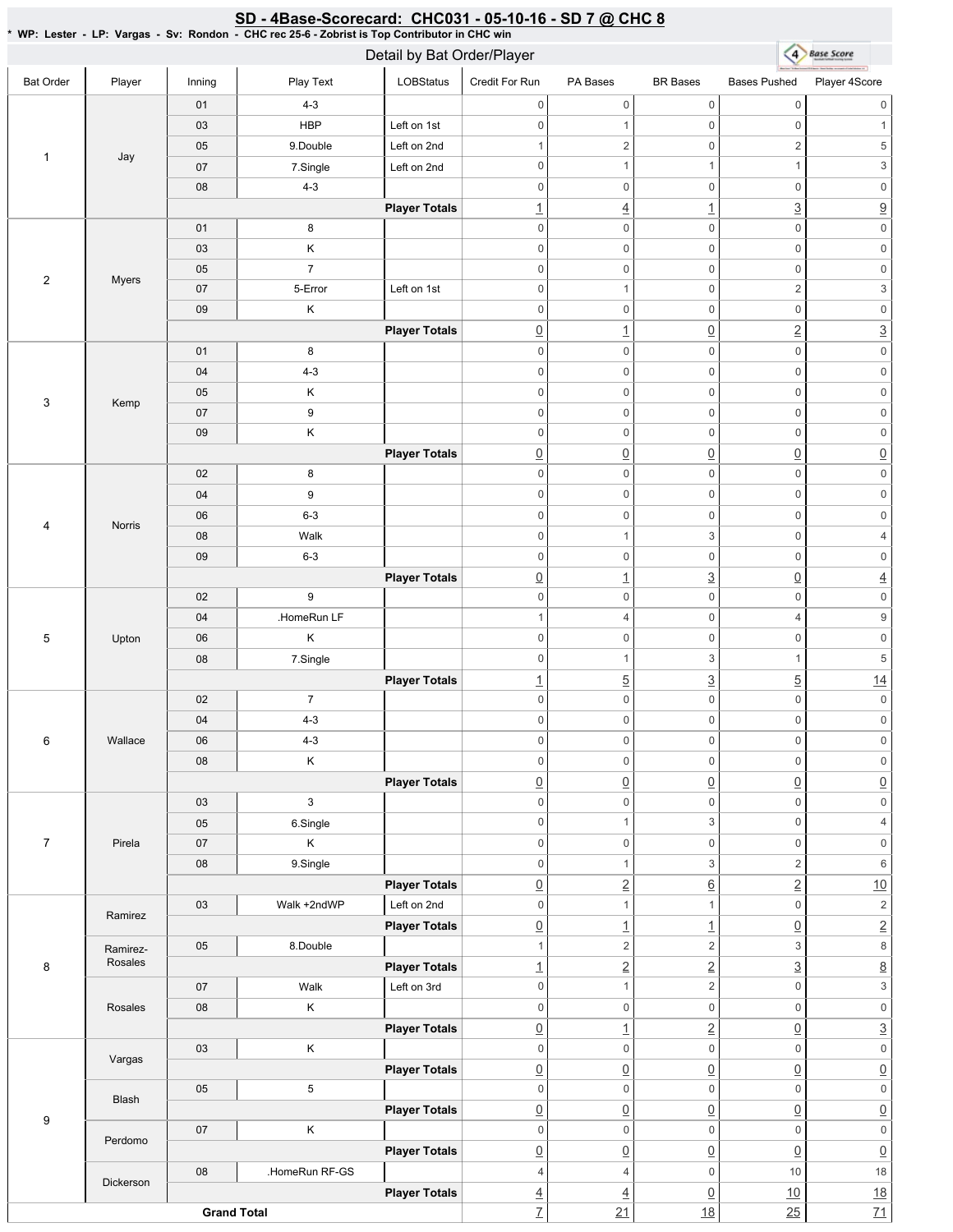### 4 Base Score Detail by Bat Order/Player Bat Order | Player | Inning | PlayText | LOBStatus Credit For Run PA Bases BR Bases Bases Pushed Player 4Score 01 4-3 0 0 0 0 0 0 03 | HBP Left on 1st 0 0 1 0 1 05 9.Double Left on 2nd 1  $2$  0 2 5 1 Jay 07 | 7.Single | Left on 2nd 0 1 1 1  $1$  3 08 4-3 0 0 0 0 0 0 **Player Totals**  $\frac{1}{1}$   $\frac{4}{1}$   $\frac{1}{3}$   $\frac{3}{2}$ 01 8 0 0 0 0 0 0 03 K 0 0 0 0 0 0 05 7 0 0 0 0 0 0 2 Myers 07 | 5-Error Left on 1st 0 1 0 2 3 09 K 0 0 0 0 0 0 **Player Totals**  $\boxed{0}$  1  $\boxed{0}$  2 3 01 8 0 0 0 0 0 0 04 4-3 0 0 0 0 0 0 05 K 0 0 0 0 0 0 3 Kemp 07 9 0 0 0 0 0 0 09 K 0 0 0 0 0 0 **Player Totals**  $\overline{0}$   $\overline{0}$   $\overline{0}$   $\overline{0}$   $\overline{0}$   $\overline{0}$   $\overline{0}$ 02 8 0 0 0 0 0 0 04 9 0 0 0 0 0 0 06 6-3 0 0 0 0 0 0 4 Norris 08 | Walk 0 1 3 0 4 09 6-3 0 0 0 0 0 0 **Player Totals**  $\boxed{0}$  1  $\boxed{3}$   $\boxed{0}$  4 02 9 0 0 0 0 0 0 04 | HomeRun LF 1 4 0 4 9 5 Upton 06 K 0 0 0 0 0 0 08 7.Single 0 1 3 1 5 **Player Totals** 1  $\frac{1}{2}$  5  $\frac{3}{2}$  5  $\frac{14}{2}$ 02 7 0 0 0 0 0 0 04 4-3 0 0 0 0 0 0 6 Wallace 06 4-3 0 0 0 0 0 0 08 | K 0 0 0 0 0 0 **Player Totals**  $\overline{0}$   $\overline{0}$   $\overline{0}$   $\overline{0}$   $\overline{0}$   $\overline{0}$   $\overline{0}$ 03 3 0 0 0 0 0 0 05 6.Single 0 1 3 0 4 7 Pirela 07 K 0 0 0 0 0 0 08 9.Single 0 1 3 2 6 **Player Totals** 0 2 6 2 10 03 Walk +2ndWP Left on 2nd 0 1 1 0 2 Ramirez **Player Totals**  $\boxed{0}$  1  $\boxed{1}$   $\boxed{0}$  2 05 8.Double Ramirez-1  $2$  2 3 8 Rosales 8 **Player Totals**  $\frac{1}{2}$   $\frac{2}{2}$   $\frac{3}{2}$   $\frac{8}{2}$ 07 | Walk Left on 3rd 0 1 2 0 3 Rosales 08 K 0 0 0 0 0 0 **Player Totals** 0 1 2 0 3 03 K 0 0 0 0 0 0 Vargas **Player Totals**  $\overline{0}$   $\overline{0}$   $\overline{0}$   $\overline{0}$   $\overline{0}$   $\overline{0}$   $\overline{0}$ 05 5 0 0 0 0 0 0 Blash **Player Totals**  $\overline{0}$   $\overline{0}$   $\overline{0}$   $\overline{0}$   $\overline{0}$   $\overline{0}$   $\overline{0}$ 9 07 K 0 0 0 0 0 0 Perdomo **Player Totals**  $\begin{array}{ccc} \boxed{0} & \boxed{0} & \boxed{0} & \boxed{0} & \boxed{0} \end{array}$ 08 | .HomeRun RF-GS 4 4 0 10 18 Dickerson **Player Totals**  $\frac{4}{9}$   $\frac{10}{18}$ **Grand Total** 7 21 18 25 71

### SD - 4Base-Scorecard: CHC031 - 05-10-16 - SD 7 @ CHC 8

\*WP:Lester-LP:Vargas-Sv:Rondon-CHCrec25-6-ZobristisTopContributorinCHCwin